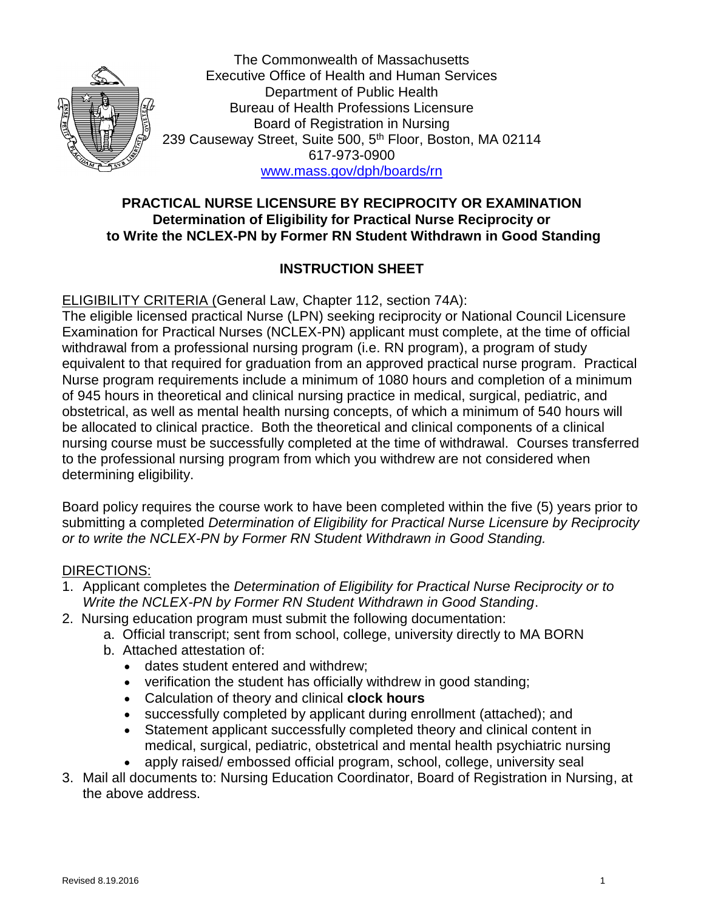

The Commonwealth of Massachusetts Executive Office of Health and Human Services Department of Public Health Bureau of Health Professions Licensure Board of Registration in Nursing 239 Causeway Street, Suite 500, 5<sup>th</sup> Floor, Boston, MA 02114 617-973-0900 [www.mass.gov/dph/boards/rn](http://www.mass.gov/dph/boards/rn)

# **PRACTICAL NURSE LICENSURE BY RECIPROCITY OR EXAMINATION Determination of Eligibility for Practical Nurse Reciprocity or to Write the NCLEX-PN by Former RN Student Withdrawn in Good Standing**

# **INSTRUCTION SHEET**

ELIGIBILITY CRITERIA (General Law, Chapter 112, section 74A):

The eligible licensed practical Nurse (LPN) seeking reciprocity or National Council Licensure Examination for Practical Nurses (NCLEX-PN) applicant must complete, at the time of official withdrawal from a professional nursing program (i.e. RN program), a program of study equivalent to that required for graduation from an approved practical nurse program. Practical Nurse program requirements include a minimum of 1080 hours and completion of a minimum of 945 hours in theoretical and clinical nursing practice in medical, surgical, pediatric, and obstetrical, as well as mental health nursing concepts, of which a minimum of 540 hours will be allocated to clinical practice. Both the theoretical and clinical components of a clinical nursing course must be successfully completed at the time of withdrawal. Courses transferred to the professional nursing program from which you withdrew are not considered when determining eligibility.

Board policy requires the course work to have been completed within the five (5) years prior to submitting a completed *Determination of Eligibility for Practical Nurse Licensure by Reciprocity or to write the NCLEX-PN by Former RN Student Withdrawn in Good Standing.*

#### DIRECTIONS:

- 1. Applicant completes the *Determination of Eligibility for Practical Nurse Reciprocity or to Write the NCLEX-PN by Former RN Student Withdrawn in Good Standing*.
- 2. Nursing education program must submit the following documentation:
	- a. Official transcript; sent from school, college, university directly to MA BORN
	- b. Attached attestation of:
		- dates student entered and withdrew;
		- verification the student has officially withdrew in good standing;
		- Calculation of theory and clinical **clock hours**
		- successfully completed by applicant during enrollment (attached); and
		- Statement applicant successfully completed theory and clinical content in medical, surgical, pediatric, obstetrical and mental health psychiatric nursing
		- apply raised/ embossed official program, school, college, university seal
- 3. Mail all documents to: Nursing Education Coordinator, Board of Registration in Nursing, at the above address.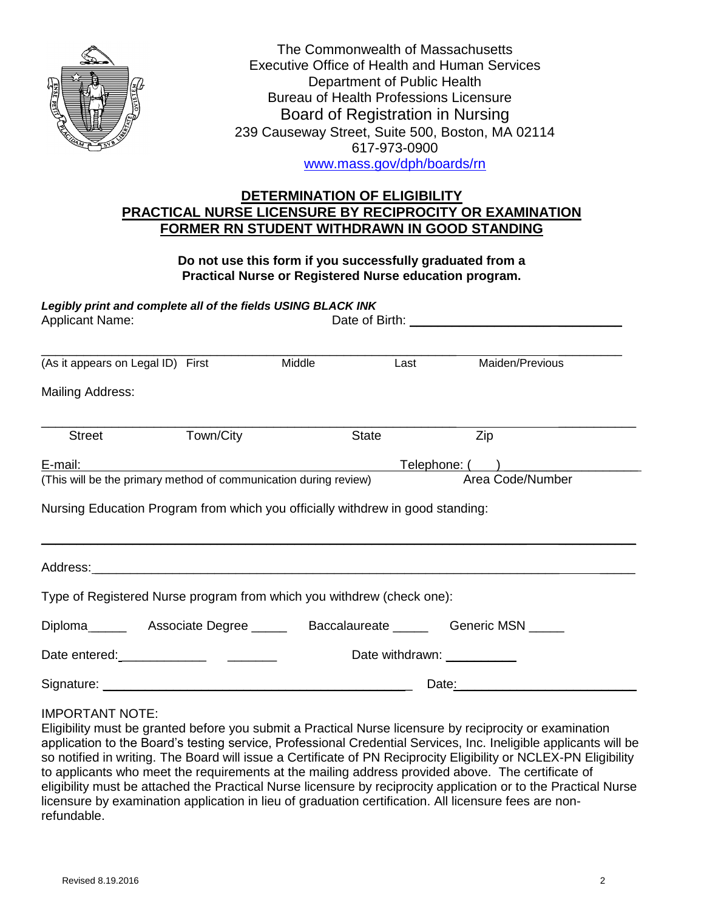

The Commonwealth of Massachusetts Executive Office of Health and Human Services Department of Public Health Bureau of Health Professions Licensure Board of Registration in Nursing 239 Causeway Street, Suite 500, Boston, MA 02114 617-973-0900 [www.mass.gov/dph/boards/rn](http://www.mass.gov/dph/boards/rn)

## **DETERMINATION OF ELIGIBILITY PRACTICAL NURSE LICENSURE BY RECIPROCITY OR EXAMINATION FORMER RN STUDENT WITHDRAWN IN GOOD STANDING**

#### **Do not use this form if you successfully graduated from a Practical Nurse or Registered Nurse education program.**

*Legibly print and complete all of the fields USING BLACK INK*

| <b>Applicant Name:</b>                                                         |                             |        |              |                  |  |  |
|--------------------------------------------------------------------------------|-----------------------------|--------|--------------|------------------|--|--|
| (As it appears on Legal ID) First                                              |                             | Middle | Last         | Maiden/Previous  |  |  |
| <b>Mailing Address:</b>                                                        |                             |        |              |                  |  |  |
| <b>Street</b>                                                                  | Town/City                   |        | <b>State</b> | Zip              |  |  |
| E-mail:                                                                        | Telephone: ( )              |        |              |                  |  |  |
| (This will be the primary method of communication during review)               |                             |        |              | Area Code/Number |  |  |
| Nursing Education Program from which you officially withdrew in good standing: |                             |        |              |                  |  |  |
|                                                                                |                             |        |              |                  |  |  |
| Type of Registered Nurse program from which you withdrew (check one):          |                             |        |              |                  |  |  |
|                                                                                |                             |        |              |                  |  |  |
|                                                                                | Date withdrawn: ___________ |        |              |                  |  |  |
| Signature:                                                                     | Date:                       |        |              |                  |  |  |

#### IMPORTANT NOTE:

Eligibility must be granted before you submit a Practical Nurse licensure by reciprocity or examination application to the Board's testing service, Professional Credential Services, Inc. Ineligible applicants will be so notified in writing. The Board will issue a Certificate of PN Reciprocity Eligibility or NCLEX-PN Eligibility to applicants who meet the requirements at the mailing address provided above. The certificate of eligibility must be attached the Practical Nurse licensure by reciprocity application or to the Practical Nurse licensure by examination application in lieu of graduation certification. All licensure fees are nonrefundable.